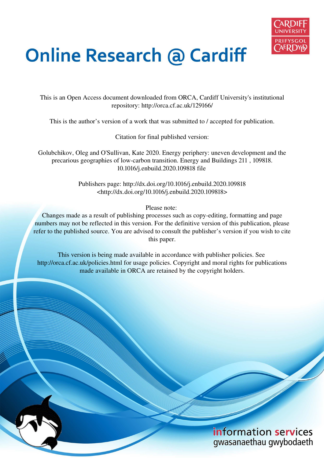

# **Online Research @ Cardiff**

This is an Open Access document downloaded from ORCA, Cardiff University's institutional repository: http://orca.cf.ac.uk/129166/

This is the author's version of a work that was submitted to / accepted for publication.

Citation for final published version:

Golubchikov, Oleg and O'Sullivan, Kate 2020. Energy periphery: uneven development and the precarious geographies of low-carbon transition. Energy and Buildings 211 , 109818. 10.1016/j.enbuild.2020.109818 file

> Publishers page: http://dx.doi.org/10.1016/j.enbuild.2020.109818 <http://dx.doi.org/10.1016/j.enbuild.2020.109818>

> > Please note:

Changes made as a result of publishing processes such as copy-editing, formatting and page numbers may not be reflected in this version. For the definitive version of this publication, please refer to the published source. You are advised to consult the publisher's version if you wish to cite this paper.

This version is being made available in accordance with publisher policies. See http://orca.cf.ac.uk/policies.html for usage policies. Copyright and moral rights for publications made available in ORCA are retained by the copyright holders.

# information services gwasanaethau gwybodaeth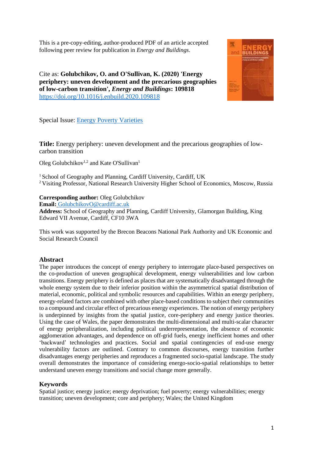This is a pre-copy-editing, author-produced PDF of an article accepted following peer review for publication in *Energy and Buildings*.

Cite as: **Golubchikov, O. and O'Sullivan, K. (2020) 'Energy periphery: uneven development and the precarious geographies of low-carbon transition',** *Energy and Buildings***: 109818**  <https://doi.org/10.1016/j.enbuild.2020.109818>

Special Issue: [Energy Poverty Varieties](https://www.sciencedirect.com/journal/energy-and-buildings/special-issue/10J5Q1PLQZ3)

**Title:** Energy periphery: uneven development and the precarious geographies of lowcarbon transition

Oleg Golubchikov<sup>1,2</sup> and Kate O'Sullivan<sup>1</sup>

<sup>1</sup> School of Geography and Planning, Cardiff University, Cardiff, UK <sup>2</sup>Visiting Professor, National Research University Higher School of Economics, Moscow, Russia

**Corresponding author:** Oleg Golubchikov

**Email:** [GolubchikovO@cardiff.ac.uk](mailto:GolubchikovO@cardiff.ac.uk) 

**Address:** School of Geography and Planning, Cardiff University, Glamorgan Building, King Edward VII Avenue, Cardiff, CF10 3WA

This work was supported by the Brecon Beacons National Park Authority and UK Economic and Social Research Council

#### **Abstract**

The paper introduces the concept of energy periphery to interrogate place-based perspectives on the co-production of uneven geographical development, energy vulnerabilities and low carbon transitions. Energy periphery is defined as places that are systematically disadvantaged through the whole energy system due to their inferior position within the asymmetrical spatial distribution of material, economic, political and symbolic resources and capabilities. Within an energy periphery, energy-related factors are combined with other place-based conditions to subject their communities to a compound and circular effect of precarious energy experiences. The notion of energy periphery is underpinned by insights from the spatial justice, core-periphery and energy justice theories. Using the case of Wales, the paper demonstrates the multi-dimensional and multi-scalar character of energy peripheralization, including political underrepresentation, the absence of economic agglomeration advantages, and dependence on off-grid fuels, energy inefficient homes and other 'backward' technologies and practices. Social and spatial contingencies of end-use energy vulnerability factors are outlined. Contrary to common discourses, energy transition further disadvantages energy peripheries and reproduces a fragmented socio-spatial landscape. The study overall demonstrates the importance of considering energo-socio-spatial relationships to better understand uneven energy transitions and social change more generally.

#### **Keywords**

Spatial justice; energy justice; energy deprivation; fuel poverty; energy vulnerabilities; energy transition; uneven development; core and periphery; Wales; the United Kingdom

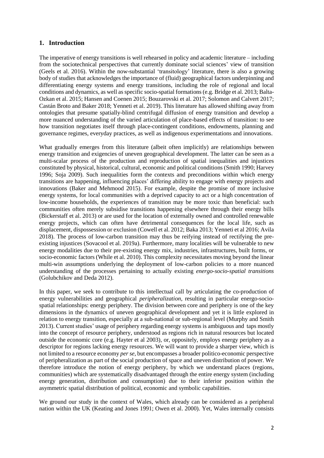#### **1. Introduction**

The imperative of energy transitions is well rehearsed in policy and academic literature – including from the sociotechnical perspectives that currently dominate social sciences' view of transition (Geels et al. 2016). Within the now-substantial 'transitology' literature, there is also a growing body of studies that acknowledges the importance of (fluid) geographical factors underpinning and differentiating energy systems and energy transitions, including the role of regional and local conditions and dynamics, as well as specific socio-spatial formations (e.g. Bridge et al. 2013; Balta-Ozkan et al. 2015; Hansen and Coenen 2015; Bouzarovski et al. 2017; Solomon and Calvert 2017; Castán Broto and Baker 2018; Yenneti et al. 2019). This literature has allowed shifting away from ontologies that presume spatially-blind centrifugal diffusion of energy transition and develop a more nuanced understanding of the varied articulation of place-based effects of transition: to see how transition negotiates itself through place-contingent conditions, endowments, planning and governance regimes, everyday practices, as well as indigenous experimentations and innovations.

What gradually emerges from this literature (albeit often implicitly) are relationships between energy transition and exigencies of uneven geographical development. The latter can be seen as a multi-scalar process of the production and reproduction of spatial inequalities and injustices constituted by physical, historical, cultural, economic and political conditions (Smith 1990; Harvey 1996; Soja 2009). Such inequalities form the contexts and preconditions within which energy transitions are happening, influencing places' differing ability to engage with energy projects and innovations (Baker and Mehmood 2015). For example, despite the promise of more inclusive energy systems, for local communities with a deprived capacity to act or a high concentration of low-income households, the experiences of transition may be more toxic than beneficial: such communities often merely subsidise transitions happening elsewhere through their energy bills (Bickerstaff et al. 2013) or are used for the location of externally owned and controlled renewable energy projects, which can often have detrimental consequences for the local life, such as displacement, dispossession or exclusion (Cowell et al. 2012; Baka 2013; Yenneti et al 2016; Avila 2018). The process of low-carbon transition may thus be reifying instead of rectifying the preexisting injustices (Sovacool et al. 2019a). Furthermore, many localities will be vulnerable to new energy modalities due to their pre-existing energy mix, industries, infrastructures, built forms, or socio-economic factors (While et al. 2010). This complexity necessitates moving beyond the linear multi-win assumptions underlying the deployment of low-carbon policies to a more nuanced understanding of the processes pertaining to actually existing *energo-socio-spatial transitions* (Golubchikov and Deda 2012).

In this paper, we seek to contribute to this intellectual call by articulating the co-production of energy vulnerabilities and geographical *peripheralization*, resulting in particular energo-sociospatial relationships: energy periphery. The division between core and periphery is one of the key dimensions in the dynamics of uneven geographical development and yet it is little explored in relation to energy transition, especially at a sub-national or sub-regional level (Murphy and Smith 2013). Current studies' usage of periphery regarding energy systems is ambiguous and taps mostly into the concept of resource periphery, understood as regions rich in natural resources but located outside the economic core (e.g. Hayter et al 2003), or, oppositely, employs energy periphery as a descriptor for regions lacking energy resources. We will want to provide a sharper view, which is not limited to a resource economy *per se*, but encompasses a broader politico-economic perspective of peripheralization as part of the social production of space and uneven distribution of power. We therefore introduce the notion of energy periphery, by which we understand places (regions, communities) which are systematically disadvantaged through the entire energy system (including energy generation, distribution and consumption) due to their inferior position within the asymmetric spatial distribution of political, economic and symbolic capabilities.

We ground our study in the context of Wales, which already can be considered as a peripheral nation within the UK (Keating and Jones 1991; Owen et al. 2000). Yet, Wales internally consists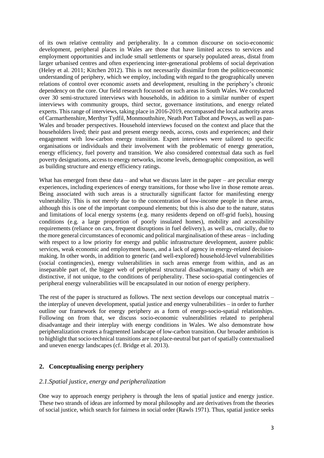of its own relative centrality and peripherality. In a common discourse on socio-economic development, peripheral places in Wales are those that have limited access to services and employment opportunities and include small settlements or sparsely populated areas, distal from larger urbanised centres and often experiencing inter-generational problems of social deprivation (Heley et al. 2011; Kitchen 2012). This is not necessarily dissimilar from the politico-economic understanding of periphery, which we employ, including with regard to the geographically uneven relations of control over economic assets and development, resulting in the periphery's chronic dependency on the core. Our field research focussed on such areas in South Wales. We conducted over 30 semi-structured interviews with households, in addition to a similar number of expert interviews with community groups, third sector, governance institutions, and energy related experts. This range of interviews, taking place in 2016-2019, encompassed the local authority areas of Carmarthenshire, Merthyr Tydfil, Monmouthshire, Neath Port Talbot and Powys, as well as pan-Wales and broader perspectives. Household interviews focused on the context and place that the householders lived; their past and present energy needs, access, costs and experiences; and their engagement with low-carbon energy transition. Expert interviews were tailored to specific organisations or individuals and their involvement with the problematic of energy generation, energy efficiency, fuel poverty and transition. We also considered contextual data such as fuel poverty designations, access to energy networks, income levels, demographic composition, as well as building structure and energy efficiency ratings.

What has emerged from these data – and what we discuss later in the paper – are peculiar energy experiences, including experiences of energy transitions, for those who live in those remote areas. Being associated with such areas is a structurally significant factor for manifesting energy vulnerability. This is not merely due to the concentration of low-income people in these areas, although this is one of the important compound elements; but this is also due to the nature, status and limitations of local energy systems (e.g. many residents depend on off-grid fuels), housing conditions (e.g. a large proportion of poorly insulated homes), mobility and accessibility requirements (reliance on cars, frequent disruptions in fuel delivery), as well as, crucially, due to the more general circumstances of economic and political marginalisation of these areas – including with respect to a low priority for energy and public infrastructure development, austere public services, weak economic and employment bases, and a lack of agency in energy-related decisionmaking. In other words, in addition to generic (and well-explored) household-level vulnerabilities (social contingencies), energy vulnerabilities in such areas emerge from within, and as an inseparable part of, the bigger web of peripheral structural disadvantages, many of which are distinctive, if not unique, to the conditions of peripherality. These socio-spatial contingencies of peripheral energy vulnerabilities will be encapsulated in our notion of energy periphery.

The rest of the paper is structured as follows. The next section develops our conceptual matrix – the interplay of uneven development, spatial justice and energy vulnerabilities – in order to further outline our framework for energy periphery as a form of energo-socio-spatial relationships. Following on from that, we discuss socio-economic vulnerabilities related to peripheral disadvantage and their interplay with energy conditions in Wales. We also demonstrate how peripheralization creates a fragmented landscape of low-carbon transition. Our broader ambition is to highlight that socio-technical transitions are not place-neutral but part of spatially contextualised and uneven energy landscapes (cf. Bridge et al. 2013).

#### **2. Conceptualising energy periphery**

#### *2.1.Spatial justice, energy and peripheralization*

One way to approach energy periphery is through the lens of spatial justice and energy justice. These two strands of ideas are informed by moral philosophy and are derivatives from the theories of social justice, which search for fairness in social order (Rawls 1971). Thus, spatial justice seeks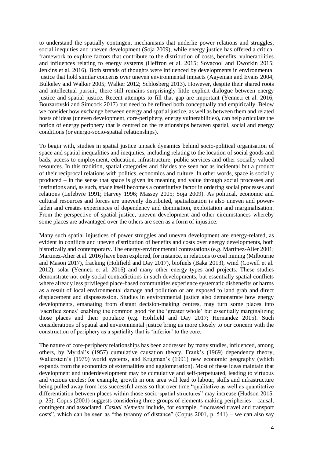to understand the spatially contingent mechanisms that underlie power relations and struggles, social inequities and uneven development (Soja 2009), while energy justice has offered a critical framework to explore factors that contribute to the distribution of costs, benefits, vulnerabilities and influences relating to energy systems (Heffron et al. 2015; Sovacool and Dworkin 2015; Jenkins et al. 2016). Both strands of thoughts were influenced by developments in environmental justice that hold similar concerns over uneven environmental impacts (Agyeman and Evans 2004; Bulkeley and Walker 2005; Walker 2012; Schlosberg 2013). However, despite their shared roots and intellectual pursuit, there still remains surprisingly little explicit dialogue between energy justice and spatial justice. Recent attempts to fill that gap are important (Yenneti et al. 2016; Bouzarovski and Simcock 2017) but need to be refined both conceptually and empirically. Below we consider how exchange between energy and spatial justice, as well as between them and related hosts of ideas (uneven development, core-periphery, energy vulnerabilities), can help articulate the notion of energy periphery that is centred on the relationships between spatial, social and energy conditions (or energo-socio-spatial relationships).

To begin with, studies in spatial justice unpack dynamics behind socio-political organisation of space and spatial inequalities and inequities, including relating to the location of social goods and bads, access to employment, education, infrastructure, public services and other socially valued resources. In this tradition, spatial categories and divides are seen not as incidental but a product of their reciprocal relations with politics, economics and culture. In other words, space is socially produced – in the sense that space is given its meaning and value through social processes and institutions and, as such, space itself becomes a constitutive factor in ordering social processes and relations (Lefebvre 1991; Harvey 1996; Massey 2005; Soja 2009). As political, economic and cultural resources and forces are unevenly distributed, spatialization is also uneven and powerladen and creates experiences of dependency and domination, exploitation and marginalisation. From the perspective of spatial justice, uneven development and other circumstances whereby some places are advantaged over the others are seen as a form of injustice.

Many such spatial injustices of power struggles and uneven development are energy-related, as evident in conflicts and uneven distribution of benefits and costs over energy developments, both historically and contemporary. The energy-environmental contestations (e.g. Martinez-Alier 2001; Martinez-Alier et al. 2016) have been explored, for instance, in relations to coal mining (Milbourne and Mason 2017), fracking (Holifield and Day 2017), biofuels (Baka 2013), wind (Cowell et al. 2012), solar (Yenneti et al. 2016) and many other energy types and projects. These studies demonstrate not only social contradictions in such developments, but essentially spatial conflicts where already less privileged place-based communities experience systematic disbenefits or harms as a result of local environmental damage and pollution or are exposed to land grab and direct displacement and dispossession. Studies in environmental justice also demonstrate how energy developments, emanating from distant decision-making centres, may turn some places into 'sacrifice zones' enabling the common good for the 'greater whole' but essentially marginalizing those places and their populace (e.g. Holifield and Day 2017; Hernandez 2015). Such considerations of spatial and environmental justice bring us more closely to our concern with the construction of periphery as a spatiality that is 'inferior' to the core.

The nature of core-periphery relationships has been addressed by many studies, influenced, among others, by Myrdal's (1957) cumulative causation theory, Frank's (1969) dependency theory, Wallerstein's (1979) world systems, and Krugman's (1991) new economic geography (which expands from the economics of externalities and agglomeration). Most of these ideas maintain that development and underdevelopment may be cumulative and self-perpetuated, leading to virtuous and vicious circles: for example, growth in one area will lead to labour, skills and infrastructure being pulled away from less successful areas so that over time "qualitative as well as quantitative differentiation between places within those socio-spatial structures" may increase (Hudson 2015, p. 25). Copus (2001) suggests considering three groups of elements making peripheries – causal, contingent and associated. *Casual elements* include, for example, "increased travel and transport costs", which can be seen as "the tyranny of distance" (Copus 2001, p. 541) – we can also say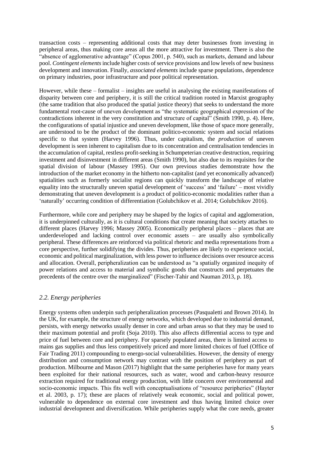transaction costs – representing additional costs that may deter businesses from investing in peripheral areas, thus making core areas all the more attractive for investment. There is also the "absence of agglomerative advantage" (Copus 2001, p. 540), such as markets, demand and labour pool. *Contingent elements* include higher costs of service provisions and low levels of new business development and innovation. Finally, *associated elements* include sparse populations, dependence on primary industries, poor infrastructure and poor political representation.

However, while these – formalist – insights are useful in analysing the existing manifestations of disparity between core and periphery, it is still the critical tradition rooted in Marxist geography (the same tradition that also produced the spatial justice theory) that seeks to understand the more fundamental root-cause of uneven development as "the systematic geographical expression of the contradictions inherent in the very constitution and structure of capital" (Smith 1990, p. 4). Here, the configurations of spatial injustice and uneven development, like those of space more generally, are understood to be the product of the dominant politico-economic system and social relations specific to that system (Harvey 1996). Thus, under capitalism, the *production* of uneven development is seen inherent to capitalism due to its concentration and centralisation tendencies in the accumulation of capital, restless profit-seeking in Schumpeterian creative destruction, requiring investment and disinvestment in different areas (Smith 1990), but also due to its requisites for the spatial division of labour (Massey 1995). Our own previous studies demonstrate how the introduction of the market economy in the hitherto non-capitalist (and yet economically advanced) spatialities such as formerly socialist regions can quickly transform the landscape of relative equality into the structurally uneven spatial development of 'success' and 'failure' – most vividly demonstrating that uneven development is a product of politico-economic modalities rather than a 'naturally' occurring condition of differentiation (Golubchikov et al. 2014; Golubchikov 2016).

Furthermore, while core and periphery may be shaped by the logics of capital and agglomeration, it is underpinned culturally, as it is cultural conditions that create meaning that society attaches to different places (Harvey 1996; Massey 2005). Economically peripheral places – places that are underdeveloped and lacking control over economic assets – are usually also symbolically peripheral. These differences are reinforced via political rhetoric and media representations from a core perspective, further solidifying the divides. Thus, peripheries are likely to experience social, economic and political marginalization, with less power to influence decisions over resource access and allocation. Overall, peripheralization can be understood as "a spatially organized inequity of power relations and access to material and symbolic goods that constructs and perpetuates the precedents of the centre over the marginalized" (Fischer-Tahir and Nauman 2013, p. 18).

#### *2.2. Energy peripheries*

Energy systems often underpin such peripheralization processes (Pasqualetti and Brown 2014). In the UK, for example, the structure of energy networks, which developed due to industrial demand, persists, with energy networks usually denser in core and urban areas so that they may be used to their maximum potential and profit (Soja 2010). This also affects differential access to type and price of fuel between core and periphery. For sparsely populated areas, there is limited access to mains gas supplies and thus less competitively priced and more limited choices of fuel (Office of Fair Trading 2011) compounding to energo-social vulnerabilities. However, the density of energy distribution and consumption network may contrast with the position of periphery as part of production. Milbourne and Mason (2017) highlight that the same peripheries have for many years been exploited for their national resources, such as water, wood and carbon-heavy resource extraction required for traditional energy production, with little concern over environmental and socio-economic impacts. This fits well with conceptualisations of "resource peripheries" (Hayter et al. 2003, p. 17); these are places of relatively weak economic, social and political power, vulnerable to dependence on external core investment and thus having limited choice over industrial development and diversification. While peripheries supply what the core needs, greater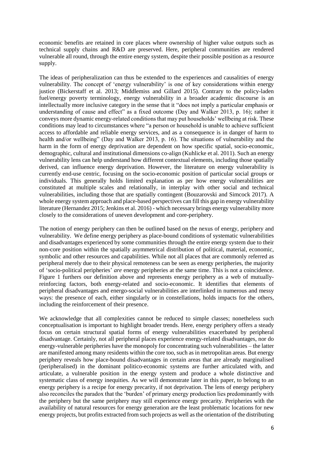economic benefits are retained in core places where ownership of higher value outputs such as technical supply chains and R&D are preserved. Here, peripheral communities are rendered vulnerable all round, through the entire energy system, despite their possible position as a resource supply.

The ideas of peripheralization can thus be extended to the experiences and causalities of energy vulnerability. The concept of 'energy vulnerability' is one of key considerations within energy justice (Bickerstaff et al. 2013; Middlemiss and Gillard 2015). Contrary to the policy-laden fuel/energy poverty terminology, energy vulnerability in a broader academic discourse is an intellectually more inclusive category in the sense that it "does not imply a particular emphasis or understanding of cause and effect" as a fixed outcome (Day and Walker 2013, p. 16); rather it conveys more dynamic energy-related conditions that may put households' wellbeing at risk. These conditions may lead to circumstances where "a person or household is unable to achieve sufficient access to affordable and reliable energy services, and as a consequence is in danger of harm to health and/or wellbeing" (Day and Walker 2013, p. 16). The situations of vulnerability and the harm in the form of energy deprivation are dependent on how specific spatial, socio-economic, demographic, cultural and institutional dimensions co-align (Kuhlicke et al. 2011). Such an energy vulnerability lens can help understand how different contextual elements, including those spatially derived, can influence energy deprivation. However, the literature on energy vulnerability is currently end-use centric, focusing on the socio-economic position of particular social groups or individuals. This generally holds limited explanation as per how energy vulnerabilities are constituted at multiple scales and relationally, in interplay with other social and technical vulnerabilities, including those that are spatially contingent (Bouzarovski and Simcock 2017). A whole energy system approach and place-based perspectives can fill this gap in energy vulnerability literature (Hernandez 2015; Jenkins et al. 2016) - which necessary brings energy vulnerability more closely to the considerations of uneven development and core-periphery.

The notion of energy periphery can then be outlined based on the nexus of energy, periphery and vulnerability. We define energy periphery as place-bound conditions of systematic vulnerabilities and disadvantages experienced by some communities through the entire energy system due to their non-core position within the spatially asymmetrical distribution of political, material, economic, symbolic and other resources and capabilities. While not all places that are commonly referred as peripheral merely due to their physical remoteness can be seen as energy peripheries, the majority of 'socio-political peripheries' *are* energy peripheries at the same time. This is not a coincidence. Figure 1 furthers our definition above and represents energy periphery as a web of mutuallyreinforcing factors, both energy-related and socio-economic. It identifies that elements of peripheral disadvantages and energo-social vulnerabilities are interlinked in numerous and messy ways: the presence of each, either singularly or in constellations, holds impacts for the others, including the reinforcement of their presence.

We acknowledge that all complexities cannot be reduced to simple classes; nonetheless such conceptualisation is important to highlight broader trends. Here, energy periphery offers a steady focus on certain structural spatial forms of energy vulnerabilities exacerbated by peripheral disadvantage. Certainly, not all peripheral places experience energy-related disadvantages, nor do energy-vulnerable peripheries have the monopoly for concentrating such vulnerabilities – the latter are manifested among many residents within the core too, such as in metropolitan areas. But energy periphery reveals how place-bound disadvantages in certain areas that are already marginalised (peripheralised) in the dominant politico-economic systems are further articulated with, and articulate, a vulnerable position in the energy system and produce a whole distinctive and systematic class of energy inequities. As we will demonstrate later in this paper, to belong to an energy periphery is a recipe for energy precarity, if not deprivation. The lens of energy periphery also reconciles the paradox that the 'burden' of primary energy production lies predominantly with the periphery but the same periphery may still experience energy precarity. Peripheries with the availability of natural resources for energy generation are the least problematic locations for new energy projects, but profits extracted from such projects as well as the orientation of the distributing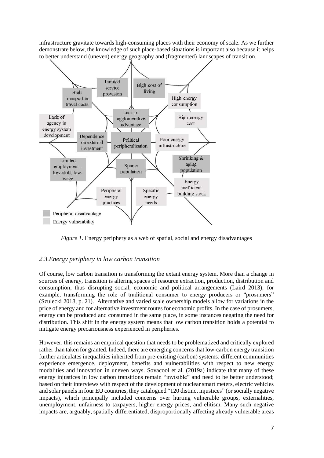infrastructure gravitate towards high-consuming places with their economy of scale. As we further demonstrate below, the knowledge of such place-based situations is important also because it helps to better understand (uneven) energy geography and (fragmented) landscapes of transition.



*Figure 1*. Energy periphery as a web of spatial, social and energy disadvantages

# *2.3.Energy periphery in low carbon transition*

Of course, low carbon transition is transforming the extant energy system. More than a change in sources of energy, transition is altering spaces of resource extraction, production, distribution and consumption, thus disrupting social, economic and political arrangements (Laird 2013), for example, transforming the role of traditional consumer to energy producers or "prosumers" (Szulecki 2018, p. 21). Alternative and varied scale ownership models allow for variations in the price of energy and for alternative investment routes for economic profits. In the case of prosumers, energy can be produced and consumed in the same place, in some instances negating the need for distribution. This shift in the energy system means that low carbon transition holds a potential to mitigate energy precariousness experienced in peripheries.

However, this remains an empirical question that needs to be problematized and critically explored rather than taken for granted. Indeed, there are emerging concerns that low-carbon energy transition further articulates inequalities inherited from pre-existing (carbon) systems: different communities experience emergence, deployment, benefits and vulnerabilities with respect to new energy modalities and innovation in uneven ways. Sovacool et al. (2019a) indicate that many of these energy injustices in low carbon transitions remain "invisible" and need to be better understood; based on their interviews with respect of the development of nuclear smart meters, electric vehicles and solar panels in four EU countries, they catalogued "120 distinct injustices" (or socially negative impacts), which principally included concerns over hurting vulnerable groups, externalities, unemployment, unfairness to taxpayers, higher energy prices, and elitism. Many such negative impacts are, arguably, spatially differentiated, disproportionally affecting already vulnerable areas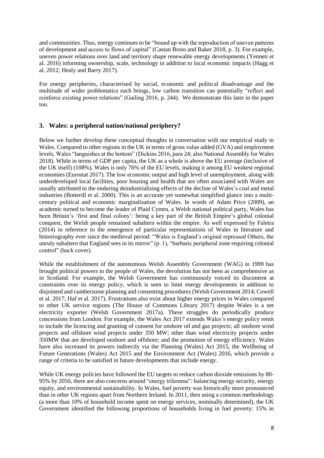and communities. Thus, energy continues to be "bound up with the reproduction of uneven patterns of development and access to flows of capital" (Castan Broto and Baker 2018, p. 3). For example, uneven power relations over land and territory shape renewable energy developments (Yenneti et al. 2016) informing ownership, scale, technology in addition to local economic impacts (Hagg et al. 2012; Healy and Barry 2017).

For energy peripheries, characterised by social, economic and political disadvantage and the multitude of wider problematics each brings, low carbon transition can potentially "reflect and reinforce existing power relations" (Gailing 2016, p. 244). We demonstrate this later in the paper too.

#### **3. Wales: a peripheral nation/national periphery?**

Below we further develop these conceptual thoughts in conversation with our empirical study in Wales. Compared to other regions in the UK in terms of gross value added (GVA) and employment levels, Wales "languishes at the bottom" (Dickins 2016, para 24; also National Assembly for Wales 2018). While in terms of GDP per capita, the UK as a whole is above the EU average (inclusive of the UK itself) (108%), Wales is only 76% of the EU levels, making it among EU weakest regional economies (Eurostat 2017). The low economic output and high level of unemployment, along with underdeveloped local facilities, poor housing and health that are often associated with Wales are usually attributed to the enduring deindustrialising effects of the decline of Wales's coal and metal industries (Botterill et al. 2000). This is an accurate yet somewhat simplified glance into a multicentury political and economic marginalisation of Wales. In words of Adam Price (2009), an academic turned to become the leader of Plaid Cymru, a Welsh national political party, Wales has been Britain's 'first and final colony': being a key part of the British Empire's global colonial conquest, the Welsh people remained subaltern within the empire. As well expressed by Faletra (2014) in reference to the emergence of particular representations of Wales in literature and historiography ever since the medieval period: "Wales is England's original repressed Others, the unruly subaltern that England sees in its mirror" (p. 1), "barbaric peripheral zone requiring colonial control" (back cover).

While the establishment of the autonomous Welsh Assembly Government (WAG) in 1999 has brought political powers to the people of Wales, the devolution has not been as comprehensive as in Scotland. For example, the Welsh Government has continuously voiced its discontent at constraints over its energy policy, which is seen to limit energy developments in addition to disjointed and cumbersome planning and consenting procedures (Welsh Government 2014; Cowell et al. 2017; Haf et al. 2017). Frustrations also exist about higher energy prices in Wales compared to other UK service regions (The House of Commons Library 2017) despite Wales is a net electricity exporter (Welsh Government 2017a). These struggles do periodically produce concessions from London. For example, the Wales Act 2017 extends Wales's energy policy remit to include the licencing and granting of consent for onshore oil and gas projects; all onshore wind projects and offshore wind projects under 350 MW; other than wind electricity projects under 350MW that are developed onshore and offshore; and the promotion of energy efficiency. Wales have also increased its powers indirectly via the Planning (Wales) Act 2015, the Wellbeing of Future Generations (Wales) Act 2015 and the Environment Act (Wales) 2016, which provide a range of criteria to be satisfied in future developments that include energy.

While UK energy policies have followed the EU targets to reduce carbon dioxide emissions by 80- 95% by 2050, there are also concerns around "energy trilemma": balancing energy security, energy equity, and environmental sustainability. In Wales, fuel poverty was historically more pronounced than in other UK regions apart from Northern Ireland. In 2011, then using a common methodology (a more than 10% of household income spent on energy services, nominally determined), the UK Government identified the following proportions of households living in fuel poverty: 15% in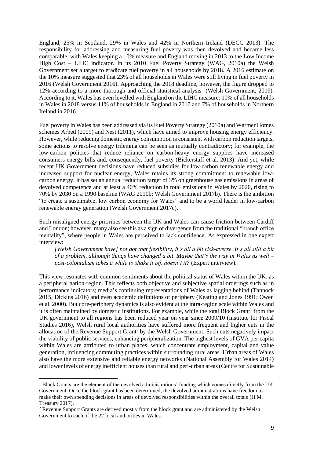England, 25% in Scotland, 29% in Wales and 42% in Northern Ireland (DECC 2013). The responsibility for addressing and measuring fuel poverty was then devolved and became less comparable, with Wales keeping a 10% measure and England moving in 2013 to the Low Income High Cost – LIHC indicator. In its 2010 Fuel Poverty Strategy (WAG, 2010a) the Welsh Government set a target to eradicate fuel poverty in all households by 2018. A 2016 estimate on the 10% measure suggested that 23% of all households in Wales were still living in fuel poverty in 2016 (Welsh Government 2016). Approaching the 2018 deadline, however, the figure dropped to 12% according to a more thorough and official statistical analysis (Welsh Government, 2019). According to it, Wales has even levelled with England on the LIHC measure: 10% of all households in Wales in 2018 versus 11% of households in England in 2017 and 7% of households in Northern Ireland in 2016.

Fuel poverty in Wales has been addressed via its Fuel Poverty Strategy (2010a) and Warmer Homes schemes Arbed (2009) and Nest (2011), which have aimed to improve housing energy efficiency. However, while reducing domestic energy consumption is consistent with carbon reduction targets, some actions to resolve energy trilemma can be seen as mutually contradictory; for example, the low-carbon policies that reduce reliance on carbon-heavy energy supplies have increased consumers energy bills and, consequently, fuel poverty (Bickerstaff et al. 2013). And yet, while recent UK Government decisions have reduced subsidies for low-carbon renewable energy and increased support for nuclear energy, Wales retains its strong commitment to renewable lowcarbon energy. It has set an annual reduction target of 3% on greenhouse gas emissions in areas of devolved competence and at least a 40% reduction in total emissions in Wales by 2020, rising to 70% by 2030 on a 1990 baseline (WAG 2010b; Welsh Government 2017b). There is the ambition "to create a sustainable, low carbon economy for Wales" and to be a world leader in low-carbon renewable energy generation (Welsh Government 2017c).

Such misaligned energy priorities between the UK and Wales can cause friction between Cardiff and London; however, many also see this as a sign of divergence from the traditional "branch office mentality", where people in Wales are perceived to lack confidence. As expressed in one expert interview:

*[Welsh Government have] not got that flexibility, it's all a bit risk-averse. It's all still a bit of a problem, although things have changed a bit. Maybe that's the way in Wales as well – post-colonialism takes a while to shake it off, doesn't it?* (Expert interview).

This view resonates with common sentiments about the political status of Wales within the UK: as a peripheral nation-region. This reflects both objective and subjective spatial orderings such as in performance indicators; media's continuing representations of Wales as lagging behind (Tannock 2015; Dickins 2016) and even academic definitions of periphery (Keating and Jones 1991; Owen et al. 2000). But core-periphery dynamics is also evident at the intra-region scale within Wales and it is often maintained by domestic institutions. For example, while the total Block Grant<sup>1</sup> from the UK government to all regions has been reduced year on year since 2009/10 (Institute for Fiscal Studies 2016), Welsh rural local authorities have suffered more frequent and higher cuts in the allocation of the Revenue Support Grant<sup>2</sup> by the Welsh Government. Such cuts negatively impact the viability of public services, enhancing peripheralization. The highest levels of GVA per capita within Wales are attributed to urban places, which concentrate employment, capital and value generation, influencing commuting practices within surrounding rural areas. Urban areas of Wales also have the more extensive and reliable energy networks (National Assembly for Wales 2014) and lower levels of energy inefficient houses than rural and peri-urban areas (Centre for Sustainable

 $\overline{a}$ 

<sup>&</sup>lt;sup>1</sup> Block Grants are the element of the devolved administrations' funding which comes directly from the UK Government. Once the block grant has been determined, the devolved administrations have freedom to make their own spending decisions in areas of devolved responsibilities within the overall totals (H.M. Treasury 2017).

 $2$  Revenue Support Grants are derived mostly from the block grant and are administered by the Welsh Government to each of the 22 local authorities in Wales.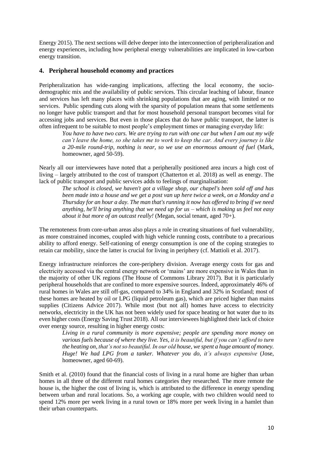Energy 2015). The next sections will delve deeper into the interconnection of peripheralization and energy experiences, including how peripheral energy vulnerabilities are implicated in low-carbon energy transition.

### **4. Peripheral household economy and practices**

Peripheralization has wide-ranging implications, affecting the local economy, the sociodemographic mix and the availability of public services. This circular leaching of labour, finance and services has left many places with shrinking populations that are aging, with limited or no services. Public spending cuts along with the sparsity of population means that some settlements no longer have public transport and that for most household personal transport becomes vital for accessing jobs and services. But even in those places that do have public transport, the latter is often infrequent to be suitable to most people's employment times or managing everyday life:

*You have to have two cars. We are trying to run with one car but when I am out my wife can't leave the home, so she takes me to work to keep the car. And every journey is like a 20-mile round-trip, nothing is near, so we use an enormous amount of fuel* (Mark, homeowner, aged 50-59).

Nearly all our interviewees have noted that a peripherally positioned area incurs a high cost of living – largely attributed to the cost of transport (Chatterton et al. 2018) as well as energy. The lack of public transport and public services adds to feelings of marginalisation:

*The school is closed, we haven't got a village shop, our chapel's been sold off and has been made into a house and we get a post van up here twice a week, on a Monday and a Thursday for an hour a day. The man that's running it now has offered to bring if we need anything, he'll bring anything that we need up for us – which is making us feel not easy about it but more of an outcast really!* (Megan, social tenant, aged 70+).

The remoteness from core-urban areas also plays a role in creating situations of fuel vulnerability, as more constrained incomes, coupled with high vehicle running costs, contribute to a precarious ability to afford energy. Self-rationing of energy consumption is one of the coping strategies to retain car mobility, since the latter is crucial for living in periphery (cf. Mattioli et al. 2017).

Energy infrastructure reinforces the core-periphery division. Average energy costs for gas and electricity accessed via the central energy network or 'mains' are more expensive in Wales than in the majority of other UK regions (The House of Commons Library 2017). But it is particularly peripheral households that are confined to more expensive sources. Indeed, approximately 46% of rural homes in Wales are still off-gas, compared to 34% in England and 32% in Scotland; most of these homes are heated by oil or LPG (liquid petroleum gas), which are priced higher than mains supplies (Citizens Advice 2017). While most (but not all) homes have access to electricity networks, electricity in the UK has not been widely used for space heating or hot water due to its even higher costs (Energy Saving Trust 2018). All our interviewees highlighted their lack of choice over energy source, resulting in higher energy costs:

*Living in a rural community is more expensive; people are spending more money on various fuels because of where they live. Yes, it is beautiful, but if you can't afford to turn the heating on, that's not so beautiful. In our old house, we spent a huge amount of money. Huge! We had LPG from a tanker. Whatever you do, it's always expensive* (Jose, homeowner, aged 60-69).

Smith et al. (2010) found that the financial costs of living in a rural home are higher than urban homes in all three of the different rural homes categories they researched. The more remote the house is, the higher the cost of living is, which is attributed to the difference in energy spending between urban and rural locations. So, a working age couple, with two children would need to spend 12% more per week living in a rural town or 18% more per week living in a hamlet than their urban counterparts.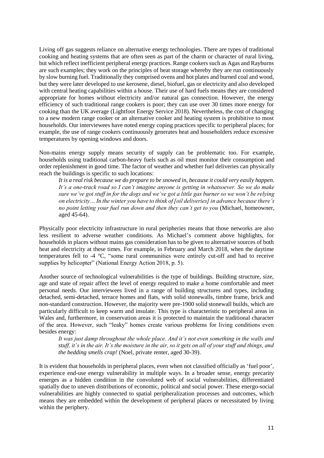Living off gas suggests reliance on alternative energy technologies. There are types of traditional cooking and heating systems that are often seen as part of the charm or character of rural living, but which reflect inefficient peripheral energy practices. Range cookers such as Agas and Rayburns are such examples; they work on the principles of heat storage whereby they are run continuously by slow burning fuel. Traditionally they comprised ovens and hot plates and burned coal and wood, but they were later developed to use kerosene, diesel, biofuel, gas or electricity and also developed with central heating capabilities within a house. Their use of hard fuels means they are considered appropriate for homes without electricity and/or natural gas connection. However, the energy efficiency of such traditional range cookers is poor; they can use over 30 times more energy for cooking than the UK average (Lightfoot Energy Service 2018). Nevertheless, the cost of changing to a new modern range cooker or an alternative cooker and heating system is prohibitive to most households. Our interviewees have noted energy coping practices specific to peripheral places; for example, the use of range cookers continuously generates heat and householders reduce excessive temperatures by opening windows and doors.

Non-mains energy supply means security of supply can be problematic too. For example, households using traditional carbon-heavy fuels such as oil must monitor their consumption and order replenishment in good time. The factor of weather and whether fuel deliveries can physically reach the buildings is specific to such locations:

*It is a real risk because we do prepare to be snowed in, because it could very easily happen. It's a one-track road so I can't imagine anyone is getting in whatsoever. So we do make sure we've got stuff in for the dogs and we've got a little gas burner so we won't be relying on electricity… In the winter you have to think of [oil deliveries] in advance because there's no point letting your fuel run down and then they can't get to you* (Michael, homeowner, aged 45-64).

Physically poor electricity infrastructure in rural peripheries means that those networks are also less resilient to adverse weather conditions. As Michael's comment above highlights, for households in places without mains gas consideration has to be given to alternative sources of both heat and electricity at these times. For example, in February and March 2018, when the daytime temperatures fell to -4 °C, "some rural communities were entirely cut-off and had to receive supplies by helicopter" (National Energy Action 2018, p. 5).

Another source of technological vulnerabilities is the type of buildings. Building structure, size, age and state of repair affect the level of energy required to make a home comfortable and meet personal needs. Our interviewees lived in a range of building structures and types, including detached, semi-detached, terrace homes and flats, with solid stonewalls, timbre frame, brick and non-standard construction. However, the majority were pre-1900 solid stonewall builds, which are particularly difficult to keep warm and insulate. This type is characteristic to peripheral areas in Wales and, furthermore, in conservation areas it is protected to maintain the traditional character of the area. However, such "leaky" homes create various problems for living conditions even besides energy:

*It was just damp throughout the whole place. And it's not even something in the walls and stuff, it's in the air. It's the moisture in the air, so it gets on all of your stuff and things, and the bedding smells crap!* (Noel, private renter, aged 30-39).

It is evident that households in peripheral places, even when not classified officially as 'fuel poor', experience end-use energy vulnerability in multiple ways. In a broader sense, energy precarity emerges as a hidden condition in the convoluted web of social vulnerabilities, differentiated spatially due to uneven distributions of economic, political and social power. These energo-social vulnerabilities are highly connected to spatial peripheralization processes and outcomes, which means they are embedded within the development of peripheral places or necessitated by living within the periphery.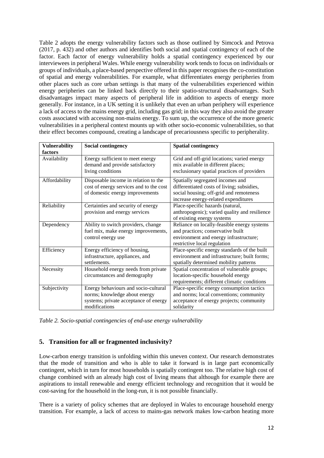Table 2 adopts the energy vulnerability factors such as those outlined by Simcock and Petrova (2017, p. 432) and other authors and identifies both social and spatial contingency of each of the factor. Each factor of energy vulnerability holds a spatial contingency experienced by our interviewees in peripheral Wales. While energy vulnerability work tends to focus on individuals or groups of individuals, a place-based perspective offered in this paper recognises the co-constitution of spatial and energy vulnerabilities. For example, what differentiates energy peripheries from other places such as core urban settings is that many of the vulnerabilities experienced within energy peripheries can be linked back directly to their spatio-structural disadvantages. Such disadvantages impact many aspects of peripheral life in addition to aspects of energy more generally. For instance, in a UK setting it is unlikely that even an urban periphery will experience a lack of access to the mains energy grid, including gas grid; in this way they also avoid the greater costs associated with accessing non-mains energy. To sum up, the occurrence of the more generic vulnerabilities in a peripheral context mounts up with other socio-economic vulnerabilities, so that their effect becomes compound, creating a landscape of precariousness specific to peripherality.

| <b>Vulnerability</b> | <b>Social contingency</b>               | <b>Spatial contingency</b>                    |
|----------------------|-----------------------------------------|-----------------------------------------------|
| factors              |                                         |                                               |
| Availability         | Energy sufficient to meet energy        | Grid and off-grid locations; varied energy    |
|                      | demand and provide satisfactory         | mix available in different places;            |
|                      | living conditions                       | exclusionary spatial practices of providers   |
| Affordability        | Disposable income in relation to the    | Spatially segregated incomes and              |
|                      | cost of energy services and to the cost | differentiated costs of living; subsidies,    |
|                      | of domestic energy improvements         | social housing; off-grid and remoteness       |
|                      |                                         | increase energy-related expenditures          |
| Reliability          | Certainties and security of energy      | Place-specific hazards (natural,              |
|                      | provision and energy services           | anthropogenic); varied quality and resilience |
|                      |                                         | of existing energy systems                    |
| Dependency           | Ability to switch providers, change     | Reliance on locally-feasible energy systems   |
|                      | fuel mix, make energy improvements,     | and practices; conservative built             |
|                      | control energy use                      | environment and energy infrastructure;        |
|                      |                                         | restrictive local regulation                  |
| Efficiency           | Energy efficiency of housing,           | Place-specific energy standards of the built  |
|                      | infrastructure, appliances, and         | environment and infrastructure; built forms;  |
|                      | settlements.                            | spatially determined mobility patterns        |
| Necessity            | Household energy needs from private     | Spatial concentration of vulnerable groups;   |
|                      | circumstances and demography            | location-specific household energy            |
|                      |                                         | requirements; different climatic conditions   |
| Subjectivity         | Energy behaviours and socio-cultural    | Place-specific energy consumption tactics     |
|                      | norms; knowledge about energy           | and norms; local conventions; community       |
|                      | systems; private acceptance of energy   | acceptance of energy projects; community      |
|                      | modifications                           | solidarity                                    |

*Table 2. Socio-spatial contingencies of end-use energy vulnerability* 

# **5. Transition for all or fragmented inclusivity?**

Low-carbon energy transition is unfolding within this uneven context. Our research demonstrates that the mode of transition and who is able to take it forward is in large part economically contingent, which in turn for most households is spatially contingent too. The relative high cost of change combined with an already high cost of living means that although for example there are aspirations to install renewable and energy efficient technology and recognition that it would be cost-saving for the household in the long-run, it is not possible financially.

There is a variety of policy schemes that are deployed in Wales to encourage household energy transition. For example, a lack of access to mains-gas network makes low-carbon heating more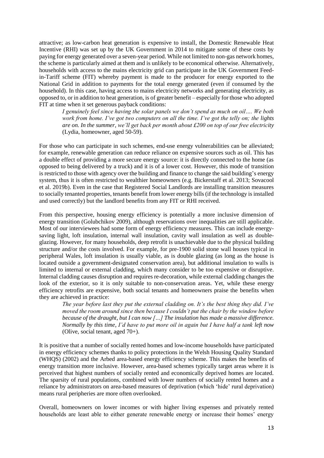attractive; as low-carbon heat generation is expensive to install, the Domestic Renewable Heat Incentive (RHI) was set up by the UK Government in 2014 to mitigate some of these costs by paying for energy generated over a seven-year period. While not limited to non-gas network homes, the scheme is particularly aimed at them and is unlikely to be economical otherwise. Alternatively, households with access to the mains electricity grid can participate in the UK Government Feedin-Tariff scheme (FIT) whereby payment is made to the producer for energy exported to the National Grid in addition to payments for the total energy generated (even if consumed by the household). In this case, having access to mains electricity networks and generating electricity, as opposed to, or in addition to heat generation, is of greater benefit – especially for those who adopted FIT at time when it set generous payback conditions:

*I genuinely feel since having the solar panels we don't spend as much on oil…. We both work from home. I've got two computers on all the time. I've got the telly on; the lights are on. In the summer, we'll get back per month about £200 on top of our free electricity*  (Lydia, homeowner, aged 50-59).

For those who can participate in such schemes, end-use energy vulnerabilities can be alleviated; for example, renewable generation can reduce reliance on expensive sources such as oil. This has a double effect of providing a more secure energy source: it is directly connected to the home (as opposed to being delivered by a truck) and it is of a lower cost. However, this mode of transition is restricted to those with agency over the building and finance to change the said building's energy system, thus it is often restricted to wealthier homeowners (e.g. Bickerstaff et al. 2013; Sovacool et al. 2019b). Even in the case that Registered Social Landlords are installing transition measures to socially tenanted properties, tenants benefit from lower energy bills (if the technology is installed and used correctly) but the landlord benefits from any FIT or RHI received.

From this perspective, housing energy efficiency is potentially a more inclusive dimension of energy transition (Golubchikov 2009), although reservations over inequalities are still applicable. Most of our interviewees had some form of energy efficiency measures. This can include energysaving light, loft insulation, internal wall insulation, cavity wall insulation as well as doubleglazing. However, for many households, deep retrofit is unachievable due to the physical building structure and/or the costs involved. For example, for pre-1900 solid stone wall houses typical in peripheral Wales, loft insulation is usually viable, as is double glazing (as long as the house is located outside a government-designated conservation area), but additional insulation to walls is limited to internal or external cladding, which many consider to be too expensive or disruptive. Internal cladding causes disruption and requires re-decoration, while external cladding changes the look of the exterior, so it is only suitable to non-conservation areas. Yet, while these energy efficiency retrofits are expensive, both social tenants and homeowners praise the benefits when they are achieved in practice:

*The year before last they put the external cladding on. It's the best thing they did. I've moved the room around since then because I couldn't put the chair by the window before because of the draught, but I can now […] The insulation has made a massive difference. Normally by this time, I'd have to put more oil in again but I have half a tank left now*  (Olive, social tenant, aged 70+).

It is positive that a number of socially rented homes and low-income households have participated in energy efficiency schemes thanks to policy protections in the Welsh Housing Quality Standard (WHQS) (2002) and the Arbed area-based energy efficiency scheme. This makes the benefits of energy transition more inclusive. However, area-based schemes typically target areas where it is perceived that highest numbers of socially rented and economically deprived homes are located. The sparsity of rural populations, combined with lower numbers of socially rented homes and a reliance by administrators on area-based measures of deprivation (which 'hide' rural deprivation) means rural peripheries are more often overlooked.

Overall, homeowners on lower incomes or with higher living expenses and privately rented households are least able to either generate renewable energy or increase their homes' energy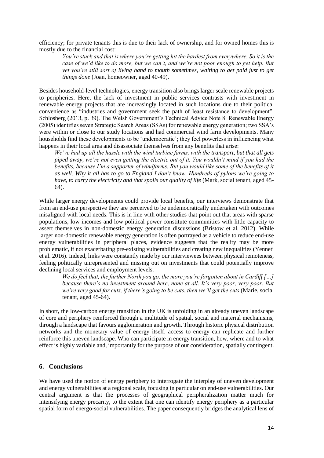efficiency; for private tenants this is due to their lack of ownership, and for owned homes this is mostly due to the financial cost:

*You're stuck and that is where you're getting hit the hardest from everywhere. So it is the case of we'd like to do more, but we can't, and we're not poor enough to get help. But yet you're still sort of living hand to mouth sometimes, waiting to get paid just to get things done* (Joan, homeowner, aged 40-49).

Besides household-level technologies, energy transition also brings larger scale renewable projects to peripheries. Here, the lack of investment in public services contrasts with investment in renewable energy projects that are increasingly located in such locations due to their political convenience as "industries and government seek the path of least resistance to development". Schlosberg (2013, p. 39). The Welsh Government's Technical Advice Note 8: Renewable Energy (2005) identifies seven Strategic Search Areas (SSAs) for renewable energy generation; two SSA's were within or close to our study locations and had commercial wind farm developments. Many households find these developments to be 'undemocratic'; they feel powerless in influencing what happens in their local area and disassociate themselves from any benefits that arise:

*We've had up all the hassle with the wind turbine farms, with the transport, but that all gets piped away, we're not even getting the electric out of it. You wouldn't mind if you had the benefits, because I'm a supporter of windfarms. But you would like some of the benefits of it as well. Why it all has to go to England I don't know. Hundreds of pylons we're going to have, to carry the electricity and that spoils our quality of life (Mark, social tenant, aged 45-*64).

While larger energy developments could provide local benefits, our interviews demonstrate that from an end-use perspective they are perceived to be undemocratically undertaken with outcomes misaligned with local needs. This is in line with other studies that point out that areas with sparse populations, low incomes and low political power constitute communities with little capacity to assert themselves in non-domestic energy generation discussions (Bristow et al. 2012). While larger non-domestic renewable energy generation is often portrayed as a vehicle to reduce end-use energy vulnerabilities in peripheral places, evidence suggests that the reality may be more problematic, if not exacerbating pre-existing vulnerabilities and creating new inequalities (Yenneti et al. 2016). Indeed, links were constantly made by our interviewees between physical remoteness, feeling politically unrepresented and missing out on investments that could potentially improve declining local services and employment levels:

*We do feel that, the further North you go, the more you're forgotten about in Cardiff […] because there's no investment around here, none at all. It's very poor, very poor. But we're very good for cuts, if there's going to be cuts, then we'll get the cuts* (Marie, social tenant, aged 45-64).

In short, the low-carbon energy transition in the UK is unfolding in an already uneven landscape of core and periphery reinforced through a multitude of spatial, social and material mechanisms, through a landscape that favours agglomeration and growth. Through historic physical distribution networks and the monetary value of energy itself, access to energy can replicate and further reinforce this uneven landscape. Who can participate in energy transition, how, where and to what effect is highly variable and, importantly for the purpose of our consideration, spatially contingent.

#### **6. Conclusions**

We have used the notion of energy periphery to interrogate the interplay of uneven development and energy vulnerabilities at a regional scale, focusing in particular on end-use vulnerabilities. Our central argument is that the processes of geographical peripheralization matter much for intensifying energy precarity, to the extent that one can identify energy periphery as a particular spatial form of energo-social vulnerabilities. The paper consequently bridges the analytical lens of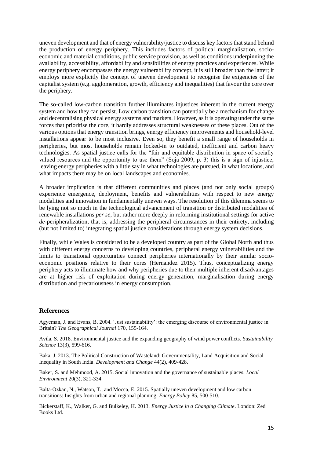uneven development and that of energy vulnerability/justice to discuss key factors that stand behind the production of energy periphery. This includes factors of political marginalisation, socioeconomic and material conditions, public service provision, as well as conditions underpinning the availability, accessibility, affordability and sensibilities of energy practices and experiences. While energy periphery encompasses the energy vulnerability concept, it is still broader than the latter; it employs more explicitly the concept of uneven development to recognise the exigencies of the capitalist system (e.g. agglomeration, growth, efficiency and inequalities) that favour the core over the periphery.

The so-called low-carbon transition further illuminates injustices inherent in the current energy system and how they can persist. Low carbon transition can potentially be a mechanism for change and decentralising physical energy systems and markets. However, as it is operating under the same forces that prioritise the core, it hardly addresses structural weaknesses of these places. Out of the various options that energy transition brings, energy efficiency improvements and household-level installations appear to be most inclusive. Even so, they benefit a small range of households in peripheries, but most households remain locked-in to outdated, inefficient and carbon heavy technologies. As spatial justice calls for the "fair and equitable distribution in space of socially valued resources and the opportunity to use them" (Soja 2009, p. 3) this is a sign of injustice, leaving energy peripheries with a little say in what technologies are pursued, in what locations, and what impacts there may be on local landscapes and economies.

A broader implication is that different communities and places (and not only social groups) experience emergence, deployment, benefits and vulnerabilities with respect to new energy modalities and innovation in fundamentally uneven ways. The resolution of this dilemma seems to be lying not so much in the technological advancement of transition or distributed modalities of renewable installations *per se*, but rather more deeply in reforming institutional settings for active *de-*peripheralization, that is, addressing the peripheral circumstances in their entirety, including (but not limited to) integrating spatial justice considerations through energy system decisions.

Finally, while Wales is considered to be a developed country as part of the Global North and thus with different energy concerns to developing countries, peripheral energy vulnerabilities and the limits to transitional opportunities connect peripheries internationally by their similar socioeconomic positions relative to their cores (Hernandez 2015). Thus, conceptualizing energy periphery acts to illuminate how and why peripheries due to their multiple inherent disadvantages are at higher risk of exploitation during energy generation, marginalisation during energy distribution and precariousness in energy consumption.

#### **References**

Agyeman, J. and Evans, B. 2004. 'Just sustainability': the emerging discourse of environmental justice in Britain? *The Geographical Journal* 170, 155-164.

Avila, S. 2018. Environmental justice and the expanding geography of wind power conflicts. *Sustainability Science* 13(3), 599-616.

Baka, J. 2013. The Political Construction of Wasteland: Governmentality, Land Acquisition and Social Inequality in South India. *Development and Change* 44(2), 409-428.

Baker, S. and Mehmood, A. 2015. Social innovation and the governance of sustainable places. *Local Environment* 20(3), 321-334.

Balta-Ozkan, N., Watson, T., and Mocca, E. 2015. Spatially uneven development and low carbon transitions: Insights from urban and regional planning. *Energy Policy* 85, 500-510.

Bickerstaff, K., Walker, G. and Bulkeley, H. 2013. *Energy Justice in a Changing Climate*. London: Zed Books Ltd.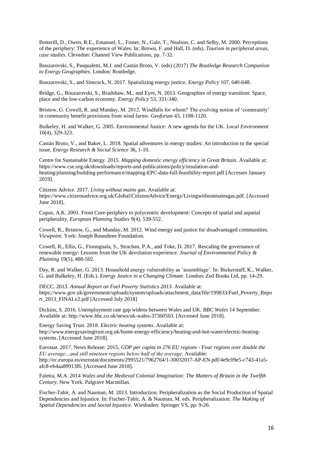Botterill, D., Owen, R.E., Emanuel, L., Foster, N., Gale, T., Nealson, C. and Selby, M. 2000. Perceptions of the periphery: The experience of Wales. In: Brown, F. and Hall, D. (eds). *Tourism in peripheral areas, case studies*. Clevedon: Channel View Publications, pp. 7-32.

Bouzarovski, S., Pasqualetti, M.J. and Castán Broto, V. (eds) (2017) *The Routledge Research Companion to Energy Geographies*. London: Routledge.

Bouzarovski, S., and Simcock, N. 2017. Spatializing energy justice. *Energy Policy* 107, 640-648.

Bridge, G., Bouzarovski, S., Bradshaw, M., and Eyre, N. 2013. Geographies of energy transition: Space, place and the low-carbon economy. *Energy Policy* 53, 331-340.

Bristow, G. Cowell, R. and Munday, M. 2012. Windfalls for whom? The evolving notion of 'community' in community benefit provisions from wind farms. *Geoforum* 43, 1108-1120.

Bulkeley, H. and Walker, G. 2005. Environmental Justice: A new agenda for the UK. *Local Environment* 10(4), 329-323.

Castán Broto, V., and Baker, L. 2018. Spatial adventures in energy studies: An introduction to the special issue. *Energy Research & Social Science* 36, 1-10.

Centre for Sustainable Energy. 2015. *Mapping domestic energy efficiency in Great Britain*. Available at: https://www.cse.org.uk/downloads/reports-and-publications/policy/insulation-andheating/planning/building-performance/mapping-EPC-data-full-feasibility-report.pdf [Accesses January 2019].

Citizens Advice. 2017. *Living without mains gas*. Available at: [https://www.citizensadvice.org.uk/Global/CitizensAdvice/Energy/Livingwithoutmainsgas.pdf.](https://www.citizensadvice.org.uk/Global/CitizensAdvice/Energy/Livingwithoutmainsgas.pdf) [Accessed June 2018].

Copus, A.K. 2001. From Core-periphery to polycentric development: Concepts of spatial and aspatial peripherality. *European Planning Studies* 9(4), 539-552.

Cowell, R., Bristow, G., and Munday, M. 2012. Wind energy and justice for disadvantaged communities. *Viewpoint*. York: Joseph Roundtree Foundation.

Cowell, R., Ellis, G., Fionnguala, S., Strachan, P.A., and Toke, D. 2017. Rescaling the governance of renewable energy: Lessons from the UK devolution experience. *Journal of Environmental Policy & Planning* 19(5), 480-502.

Day, R. and Walker, G. 2013. Household energy vulnerability as 'assemblage'. In: Bickerstaff, K., Walker, G. and Bulkeley, H. (Eds.). *Energy Justice in a Changing Climate*. London: Zed Books Ltd, pp. 14-29.

DECC. 2013. *Annual Report on Fuel Poverty Statistics 2013*. Available at: https://www.gov.uk/government/uploads/system/uploads/attachment\_data/file/199833/Fuel\_Poverty\_Repo rt\_2013\_FINALv2.pdf [Accessed July 2018]

Dickins, S. 2016. Unemployment rate gap widens between Wales and UK. *BBC Wales* 14 September. Available at: [http://www.bbc.co.uk/news/uk-wales-37360503.](http://www.bbc.co.uk/news/uk-wales-37360503) [Accessed June 2018].

Energy Saving Trust. 2018. *Electric heating systems*. Available at: [http://www.energysavingtrust.org.uk/home-energy-efficiency/heating-and-hot-water/electric-heating](http://www.energysavingtrust.org.uk/home-energy-efficiency/heating-and-hot-water/electric-heating-systems)[systems.](http://www.energysavingtrust.org.uk/home-energy-efficiency/heating-and-hot-water/electric-heating-systems) [Accessed June 2018].

Eurostat. 2017. News Release: 2015, *GDP per capita in 276 EU regions - Four regions over double the EU average…and still nineteen regions below half of the average*. Available: [http://ec.europa.eu/eurostat/documents/2995521/7962764/1-30032017-AP-EN.pdf/4e9c09e5-c743-41a5](http://ec.europa.eu/eurostat/documents/2995521/7962764/1-30032017-AP-EN.pdf/4e9c09e5-c743-41a5-afc8-eb4aa89913f6) [afc8-eb4aa89913f6.](http://ec.europa.eu/eurostat/documents/2995521/7962764/1-30032017-AP-EN.pdf/4e9c09e5-c743-41a5-afc8-eb4aa89913f6) [Accessed June 2018].

Faletra, M.A. 2014 *Wales and the Medieval Colonial Imagination: The Matters of Britain in the Twelfth Century.* New York: Palgrave Macmillan.

Fischer-Tahir, A. and Nauman, M. 2013. Introduction: Peripheralization as the Social Production of Spatial Dependencies and Injustice. In: Fischer-Tahir, A. & Nauman, M. eds. Peripheralization: *The Making of Spatial Dependencies and Social Injustice*. Wiesbaden: Springer VS, pp. 9-26.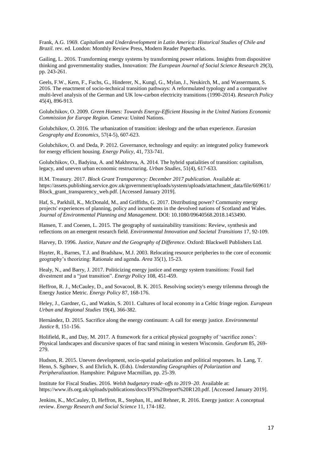Frank, A.G. 1969. *Capitalism and Underdevelopment in Latin America: Historical Studies of Chile and Brazil*. rev. ed. London: Monthly Review Press, Modern Reader Paperbacks.

Gailing, L. 2016. Transforming energy systems by transforming power relations. Insights from dispositive thinking and governmentality studies, Innovation: *The European Journal of Social Science Research* 29(3), pp. 243-261.

Geels, F.W., Kern, F., Fuchs, G., Hinderer, N., Kungl, G., Mylan, J., Neukirch, M., and Wassermann, S. 2016. The enactment of socio-technical transition pathways: A reformulated typology and a comparative multi-level analysis of the German and UK low-carbon electricity transitions (1990-2014). *Research Policy* 45(4), 896-913.

Golubchikov, O. 2009. *Green Homes: Towards Energy-Efficient Housing in the United Nations Economic Commission for Europe Region.* Geneva: United Nations.

Golubchikov, O. 2016. The urbanization of transition: ideology and the urban experience. *Eurasian Geography and Economics*, 57(4-5), 607-623.

Golubchikov, O. and Deda, P. 2012. Governance, technology and equity: an integrated policy framework for energy efficient housing. *Energy Policy*, 41, 733-741.

Golubchikov, O., Badyina, A. and Makhrova, A. 2014. The hybrid spatialities of transition: capitalism, legacy, and uneven urban economic restructuring. *Urban Studies*, 51(4), 617-633.

H.M. Treasury. 2017*. Block Grant Transparency: December 2017 publication*. Available at: https://assets.publishing.service.gov.uk/government/uploads/system/uploads/attachment\_data/file/669611/ Block\_grant\_transparency\_web.pdf. [Accessed January 2019].

Haf, S., Parkhill, K., McDonald, M., and Griffiths, G. 2017. Distributing power? Community energy projects' experiences of planning, policy and incumbents in the devolved nations of Scotland and Wales. *Journal of Environmental Planning and Management*. DOI: 10.1080/09640568.2018.1453490.

Hansen, T. and Coenen, L. 2015. The geography of sustainability transitions: Review, synthesis and reflections on an emergent research field. *Environmental Innovation and Societal Transitions* 17, 92-109.

Harvey, D. 1996. *Justice, Nature and the Geography of Difference*. Oxford: Blackwell Publishers Ltd.

Hayter, R., Barnes, T.J. and Bradshaw, M.J. 2003. Relocating resource peripheries to the core of economic geography's theorizing: Rationale and agenda. *Area* 35(1), 15-23.

Healy, N., and Barry, J. 2017. Politicizing energy justice and energy system transitions: Fossil fuel divestment and a "just transition". *Energy Policy* 108, 451-459.

Heffron, R. J., McCauley, D., and Sovacool, B. K. 2015. Resolving society's energy trilemma through the Energy Justice Metric*. Energy Policy* 87, 168-176.

Heley, J., Gardner, G., and Watkin, S. 2011. Cultures of local economy in a Celtic fringe region. *European Urban and Regional Studies* 19(4), 366-382.

Hernández, D. 2015. Sacrifice along the energy continuum: A call for energy justice. *Environmental Justice* 8, 151-156.

Holifield, R., and Day, M. 2017. A framework for a critical physical geography of 'sacrifice zones': Physical landscapes and discursive spaces of frac sand mining in western Wisconsin. *Geoforum* 85, 269- 279.

Hudson, R. 2015. Uneven development, socio-spatial polarization and political responses. In. Lang, T. Henn, S. Sgibnev, S. and Ehrlich, K. (Eds). *Understanding Geographies of Polarization and Peripheralization*. Hampshire: Palgrave Macmillan, pp. 25-39.

Institute for Fiscal Studies. 2016. *Welsh budgetary trade–offs to 2019–20*. Available at: https://www.ifs.org.uk/uploads/publications/docs/IFS%20report%20R120.pdf. [Accessed January 2019].

Jenkins, K., McCauley, D, Heffron, R., Stephan, H., and Rehner, R. 2016. Energy justice: A conceptual review. *Energy Research and Social Science* 11, 174-182.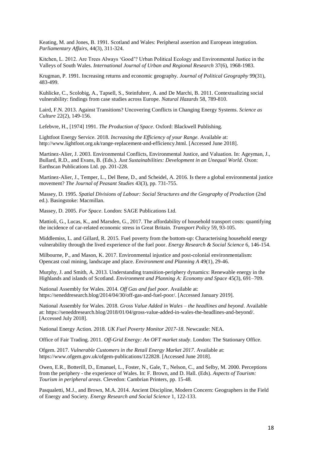Keating, M. and Jones, B. 1991. Scotland and Wales: Peripheral assertion and European integration. *Parliamentary Affairs*, 44(3), 311-324.

Kitchen, L. 2012. Are Trees Always 'Good'? Urban Political Ecology and Environmental Justice in the Valleys of South Wales. *International Journal of Urban and Regional Research* 37(6), 1968-1983.

Krugman, P. 1991. Increasing returns and economic geography. *Journal of Political Geography* 99(31), 483-499.

Kuhlicke, C., Scolobig, A., Tapsell, S., Steinfuhrer, A. and De Marchi, B. 2011. Contextualizing social vulnerability: findings from case studies across Europe. *Natural Hazards* 58, 789-810.

Laird, F.N. 2013. Against Transitions? Uncovering Conflicts in Changing Energy Systems. *Science as Culture* 22(2), 149-156.

Lefebvre, H., [1974] 1991. *The Production of Space*. Oxford: Blackwell Publishing.

Lightfoot Energy Service. 2018. *Increasing the Efficiency of your Range*. Available at: [http://www.lightfoot.org.uk/range-replacement-and-efficiency.html.](http://www.lightfoot.org.uk/range-replacement-and-efficiency.html) [Accessed June 2018].

Martinez-Alier, J. 2003. Environmental Conflicts, Environmental Justice, and Valuation. In: Ageyman, J., Bullard, R.D., and Evans, B. (Eds.). *Just Sustainabilities: Development in an Unequal World*. Oxon: Earthscan Publications Ltd. pp. 201-228.

Martinez-Alier, J., Temper, L., Del Bene, D., and Scheidel, A. 2016. Is there a global environmental justice movement? *The Journal of Peasant Studies* 43(3), pp. 731-755.

Massey, D. 1995. *Spatial Divisions of Labour: Social Structures and the Geography of Production* (2nd ed.). Basingstoke: Macmillan.

Massey, D. 2005. *For Space*. London: SAGE Publications Ltd.

Mattioli, G., Lucas, K., and Marsden, G., 2017. The affordability of household transport costs: quantifying the incidence of car-related economic stress in Great Britain. *Transport Policy* 59, 93-105.

Middlemiss, L. and Gillard, R. 2015. Fuel poverty from the bottom-up: Characterising household energy vulnerability through the lived experience of the fuel poor. *Energy Research & Social Science* 6, 146-154.

Milbourne, P., and Mason, K. 2017. Environmental injustice and post-colonial environmentalism: Opencast coal mining, landscape and place. *Environment and Planning A* 49(1), 29-46.

Murphy, J. and Smith, A. 2013. Understanding transition-periphery dynamics: Renewable energy in the Highlands and islands of Scotland. *Environment and Planning A: Economy and Space* 45(3), 691–709.

National Assembly for Wales. 2014. *Off Gas and fuel poor*. Available at: https://seneddresearch.blog/2014/04/30/off-gas-and-fuel-poor/. [Accessed January 2019].

National Assembly for Wales. 2018. *Gross Value Added in Wales – the headlines and beyond*. Available at: [https://seneddresearch.blog/2018/01/04/gross-value-added-in-wales-the-headlines-and-beyond/.](https://seneddresearch.blog/2018/01/04/gross-value-added-in-wales-the-headlines-and-beyond/) [Accessed July 2018].

National Energy Action. 2018. *UK Fuel Poverty Monitor 2017-18*. Newcastle: NEA.

Office of Fair Trading. 2011. *Off-Grid Energy: An OFT market study*. London: The Stationary Office.

Ofgem. 2017. *Vulnerable Customers in the Retail Energy Market 2017*. Available at: [https://www.ofgem.gov.uk/ofgem-publications/122828.](https://www.ofgem.gov.uk/ofgem-publications/122828) [Accessed June 2018].

Owen, E.R., Botterill, D., Emanuel, L., Foster, N., Gale, T., Nelson, C., and Selby, M. 2000. Perceptions from the periphery - the experience of Wales. In: F. Brown, and D. Hall. (Eds). *Aspects of Tourism: Tourism in peripheral areas*. Clevedon: Cambrian Printers, pp. 15-48.

Pasqualetti, M.J., and Brown, M.A. 2014. Ancient Discipline, Modern Concern: Geographers in the Field of Energy and Society. *Energy Research and Social Science* 1, 122-133.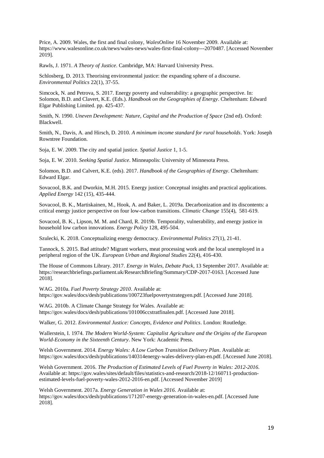Price, A. 2009. Wales, the first and final colony, *WalesOnline* 16 November 2009. Available at: https://www.walesonline.co.uk/news/wales-news/wales-first-final-colony---2070487. [Accessed November 2019].

Rawls, J. 1971. *A Theory of Justice*. Cambridge, MA: Harvard University Press.

Schlosberg, D. 2013. Theorising environmental justice: the expanding sphere of a discourse. *Environmental Politics* 22(1), 37-55.

Simcock, N. and Petrova, S. 2017. Energy poverty and vulnerability: a geographic perspective. In: Solomon, B.D. and Clavert, K.E. (Eds.). *Handbook on the Geographies of Energy*. Cheltenham: Edward Elgar Publishing Limited. pp. 425-437.

Smith, N. 1990. *Uneven Development: Nature, Capital and the Production of Space* (2nd ed). Oxford: Blackwell.

Smith, N., Davis, A. and Hirsch, D. 2010. *A minimum income standard for rural households*. York: Joseph Rowntree Foundation.

Soja, E. W. 2009. The city and spatial justice. *Spatial Justice* 1, 1-5.

Soja, E. W. 2010. *Seeking Spatial Justice*. Minneapolis: University of Minnesota Press.

Solomon, B.D. and Calvert, K.E. (eds). 2017. *Handbook of the Geographies of Energy*. Cheltenham: Edward Elgar.

Sovacool, B.K. and Dworkin, M.H. 2015. Energy justice: Conceptual insights and practical applications. *Applied Energy* 142 (15), 435-444.

Sovacool, B. K., Martiskainen, M., Hook, A. and Baker, L. 2019a. Decarbonization and its discontents: a critical energy justice perspective on four low-carbon transitions. *Climatic Change* 155(4), 581-619.

Sovacool, B. K., Lipson, M. M. and Chard, R. 2019b. Temporality, vulnerability, and energy justice in household low carbon innovations. *Energy Policy* 128, 495-504.

Szulecki, K. 2018. Conceptualizing energy democracy. *Environmental Politics* 27(1), 21-41.

Tannock, S. 2015. Bad attitude? Migrant workers, meat processing work and the local unemployed in a peripheral region of the UK. *European Urban and Regional Studies* 22(4), 416-430.

The House of Commons Library. 2017. *Energy in Wales, Debate Pack*, 13 September 2017. Available at: [https://researchbriefings.parliament.uk/ResearchBriefing/Summary/CDP-2017-0163.](https://researchbriefings.parliament.uk/ResearchBriefing/Summary/CDP-2017-0163) [Accessed June 2018].

WAG. 2010a. *Fuel Poverty Strategy 2010*. Available at: https://gov.wales/docs/desh/publications/100723fuelpovertystrategyen.pdf. [Accessed June 2018].

WAG. 2010b. A Climate Change Strategy for Wales. Available at: https://gov.wales/docs/desh/publications/101006ccstratfinalen.pdf. [Accessed June 2018].

Walker, G. 2012. *Environmental Justice: Concepts, Evidence and Politics*. London: Routledge.

Wallerstein, I. 1974. *The Modern World-System: Capitalist Agriculture and the Origins of the European World-Economy in the Sixteenth Century*. New York: Academic Press.

Welsh Government. 2014. *Energy Wales: A Low Carbon Transition Delivery Plan*. Available at: [https://gov.wales/docs/desh/publications/140314energy-wales-delivery-plan-en.pdf.](https://gov.wales/docs/desh/publications/140314energy-wales-delivery-plan-en.pdf) [Accessed June 2018].

Welsh Government. 2016. *The Production of Estimated Levels of Fuel Poverty in Wales: 2012-2016.* Available at: https://gov.wales/sites/default/files/statistics-and-research/2018-12/160711-productionestimated-levels-fuel-poverty-wales-2012-2016-en.pdf. [Accessed November 2019]

Welsh Government. 2017a. *Energy Generation in Wales 2016*. Available at: [https://gov.wales/docs/desh/publications/171207-energy-generation-in-wales-en.pdf.](https://gov.wales/docs/desh/publications/171207-energy-generation-in-wales-en.pdf) [Accessed June 2018].